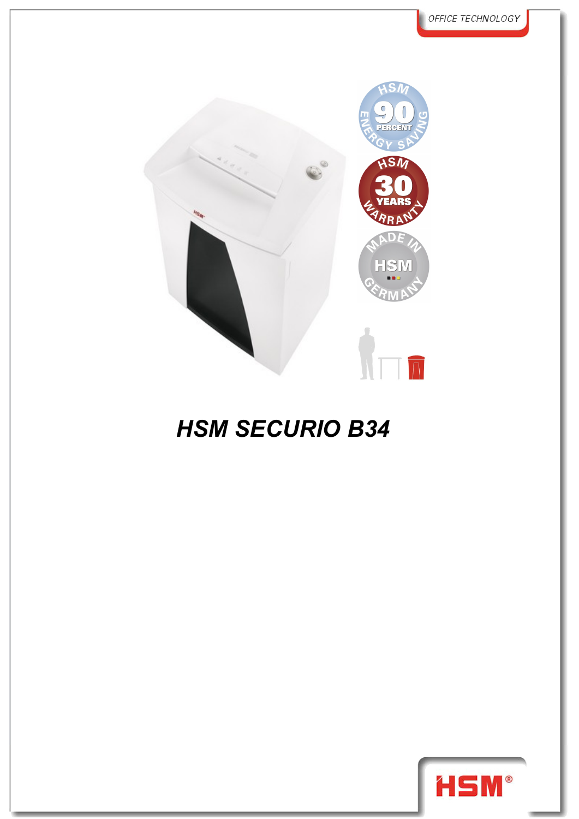

## *HSM SECURIO B34*

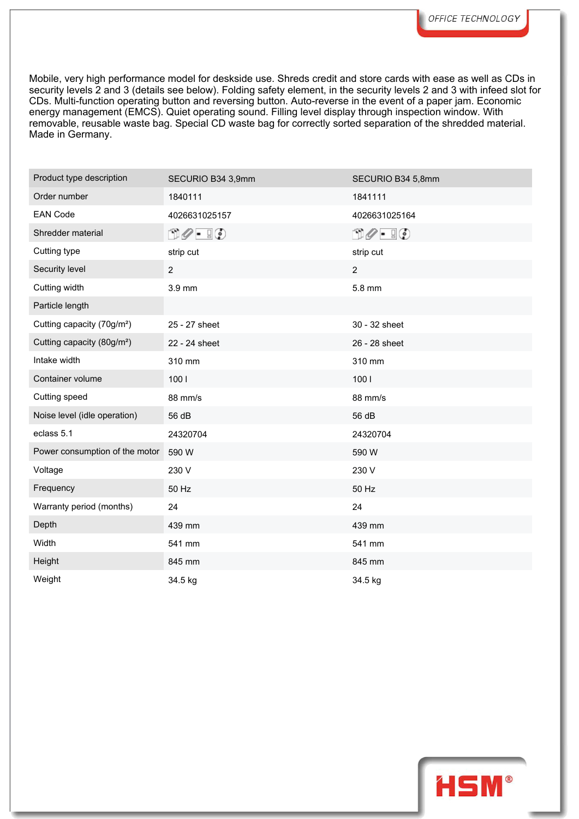Mobile, very high performance model for deskside use. Shreds credit and store cards with ease as well as CDs in security levels 2 and 3 (details see below). Folding safety element, in the security levels 2 and 3 with infeed slot for CDs. Multi-function operating button and reversing button. Auto-reverse in the event of a paper jam. Economic energy management (EMCS). Quiet operating sound. Filling level display through inspection window. With removable, reusable waste bag. Special CD waste bag for correctly sorted separation of the shredded material. Made in Germany.

| Product type description               | SECURIO B34 3,9mm             | SECURIO B34 5,8mm             |
|----------------------------------------|-------------------------------|-------------------------------|
| Order number                           | 1840111                       | 1841111                       |
| <b>EAN Code</b>                        | 4026631025157                 | 4026631025164                 |
| Shredder material                      | $\Box \oslash - \Box \oslash$ | $\Box \oslash - \Box \oslash$ |
| Cutting type                           | strip cut                     | strip cut                     |
| Security level                         | $\overline{2}$                | $\overline{2}$                |
| Cutting width                          | 3.9 mm                        | 5.8 mm                        |
| Particle length                        |                               |                               |
| Cutting capacity (70g/m <sup>2</sup> ) | 25 - 27 sheet                 | 30 - 32 sheet                 |
| Cutting capacity (80g/m <sup>2</sup> ) | 22 - 24 sheet                 | 26 - 28 sheet                 |
| Intake width                           | 310 mm                        | 310 mm                        |
| Container volume                       | 1001                          | 1001                          |
| Cutting speed                          | 88 mm/s                       | 88 mm/s                       |
| Noise level (idle operation)           | 56 dB                         | 56 dB                         |
| eclass 5.1                             | 24320704                      | 24320704                      |
| Power consumption of the motor         | 590 W                         | 590 W                         |
| Voltage                                | 230 V                         | 230 V                         |
| Frequency                              | 50 Hz                         | 50 Hz                         |
| Warranty period (months)               | 24                            | 24                            |
| Depth                                  | 439 mm                        | 439 mm                        |
| Width                                  | 541 mm                        | 541 mm                        |
| Height                                 | 845 mm                        | 845 mm                        |
| Weight                                 | 34.5 kg                       | 34.5 kg                       |
|                                        |                               |                               |

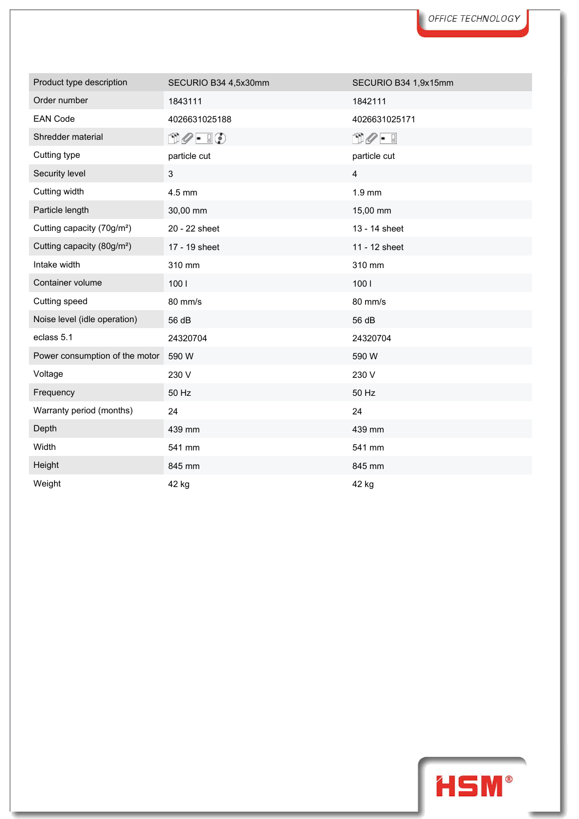| Product type description               | SECURIO B34 4,5x30mm                             | SECURIO B34 1,9x15mm           |
|----------------------------------------|--------------------------------------------------|--------------------------------|
| Order number                           | 1843111                                          | 1842111                        |
| <b>EAN Code</b>                        | 4026631025188                                    | 4026631025171                  |
| Shredder material                      | $\mathbb{D}\mathscr{O}$ - $\mathbb{F}\mathbb{Q}$ | $\square\oslash\cdot\,\square$ |
| Cutting type                           | particle cut                                     | particle cut                   |
| Security level                         | $\mathfrak{S}$                                   | $\overline{4}$                 |
| Cutting width                          | 4.5 mm                                           | $1.9$ mm                       |
| Particle length                        | 30,00 mm                                         | 15,00 mm                       |
| Cutting capacity (70g/m <sup>2</sup> ) | 20 - 22 sheet                                    | 13 - 14 sheet                  |
| Cutting capacity (80g/m <sup>2</sup> ) | 17 - 19 sheet                                    | 11 - 12 sheet                  |
| Intake width                           | 310 mm                                           | 310 mm                         |
| Container volume                       | 1001                                             | 1001                           |
| Cutting speed                          | 80 mm/s                                          | 80 mm/s                        |
| Noise level (idle operation)           | 56 dB                                            | 56 dB                          |
| eclass 5.1                             | 24320704                                         | 24320704                       |
| Power consumption of the motor         | 590 W                                            | 590 W                          |
| Voltage                                | 230 V                                            | 230 V                          |
| Frequency                              | 50 Hz                                            | 50 Hz                          |
| Warranty period (months)               | 24                                               | 24                             |
| Depth                                  | 439 mm                                           | 439 mm                         |
| Width                                  | 541 mm                                           | 541 mm                         |
| Height                                 | 845 mm                                           | 845 mm                         |
| Weight                                 | 42 ka                                            | 42 kg                          |

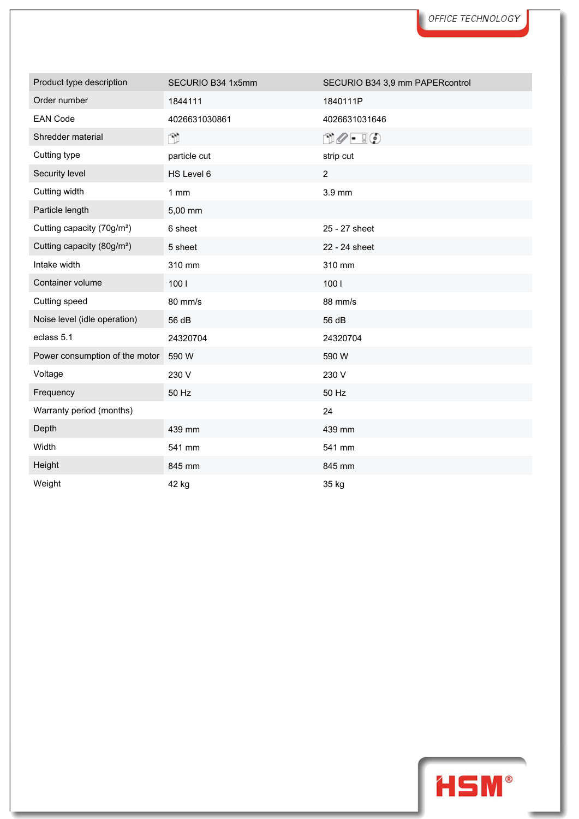| Product type description               | SECURIO B34 1x5mm | SECURIO B34 3,9 mm PAPERcontrol                  |
|----------------------------------------|-------------------|--------------------------------------------------|
| Order number                           | 1844111           | 1840111P                                         |
| <b>EAN Code</b>                        | 4026631030861     | 4026631031646                                    |
| Shredder material                      | n.                | $\mathbb{D}\mathscr{O}$ - $\mathbb{F}\mathbb{Q}$ |
| Cutting type                           | particle cut      | strip cut                                        |
| Security level                         | HS Level 6        | $\overline{2}$                                   |
| Cutting width                          | 1mm               | 3.9 mm                                           |
| Particle length                        | 5,00 mm           |                                                  |
| Cutting capacity (70g/m <sup>2</sup> ) | 6 sheet           | 25 - 27 sheet                                    |
| Cutting capacity (80g/m <sup>2</sup> ) | 5 sheet           | 22 - 24 sheet                                    |
| Intake width                           | 310 mm            | 310 mm                                           |
| Container volume                       | 1001              | 1001                                             |
| Cutting speed                          | 80 mm/s           | 88 mm/s                                          |
| Noise level (idle operation)           | 56 dB             | 56 dB                                            |
| eclass 5.1                             | 24320704          | 24320704                                         |
| Power consumption of the motor         | 590 W             | 590 W                                            |
| Voltage                                | 230 V             | 230 V                                            |
| Frequency                              | 50 Hz             | 50 Hz                                            |
| Warranty period (months)               |                   | 24                                               |
| Depth                                  | 439 mm            | 439 mm                                           |
| Width                                  | 541 mm            | 541 mm                                           |
| Height                                 | 845 mm            | 845 mm                                           |
| Weight                                 | 42 ka             | 35 ka                                            |

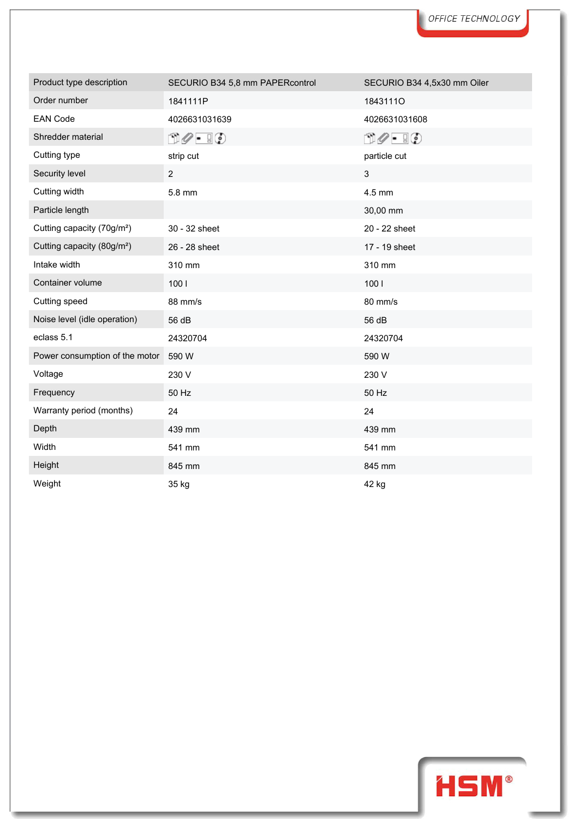| Product type description               | SECURIO B34 5,8 mm PAPERcontrol                  | SECURIO B34 4,5x30 mm Oiler   |
|----------------------------------------|--------------------------------------------------|-------------------------------|
| Order number                           | 1841111P                                         | 18431110                      |
| <b>EAN Code</b>                        | 4026631031639                                    | 4026631031608                 |
| Shredder material                      | $\mathbb{D}\mathscr{O}$ - $\mathbb{F}\mathbb{Q}$ | $\Box\oslash$ - $\Box\oslash$ |
| Cutting type                           | strip cut                                        | particle cut                  |
| Security level                         | $\overline{2}$                                   | $\mathfrak{S}$                |
| Cutting width                          | 5.8 mm                                           | 4.5 mm                        |
| Particle length                        |                                                  | 30,00 mm                      |
| Cutting capacity (70g/m <sup>2</sup> ) | 30 - 32 sheet                                    | 20 - 22 sheet                 |
| Cutting capacity (80g/m <sup>2</sup> ) | 26 - 28 sheet                                    | 17 - 19 sheet                 |
| Intake width                           | 310 mm                                           | 310 mm                        |
| Container volume                       | 1001                                             | 1001                          |
| Cutting speed                          | 88 mm/s                                          | 80 mm/s                       |
| Noise level (idle operation)           | 56 dB                                            | 56 dB                         |
| eclass 5.1                             | 24320704                                         | 24320704                      |
| Power consumption of the motor         | 590 W                                            | 590 W                         |
| Voltage                                | 230 V                                            | 230 V                         |
| Frequency                              | 50 Hz                                            | 50 Hz                         |
| Warranty period (months)               | 24                                               | 24                            |
| Depth                                  | 439 mm                                           | 439 mm                        |
| Width                                  | 541 mm                                           | 541 mm                        |
| Height                                 | 845 mm                                           | 845 mm                        |
| Weight                                 | 35 ka                                            | 42 kg                         |

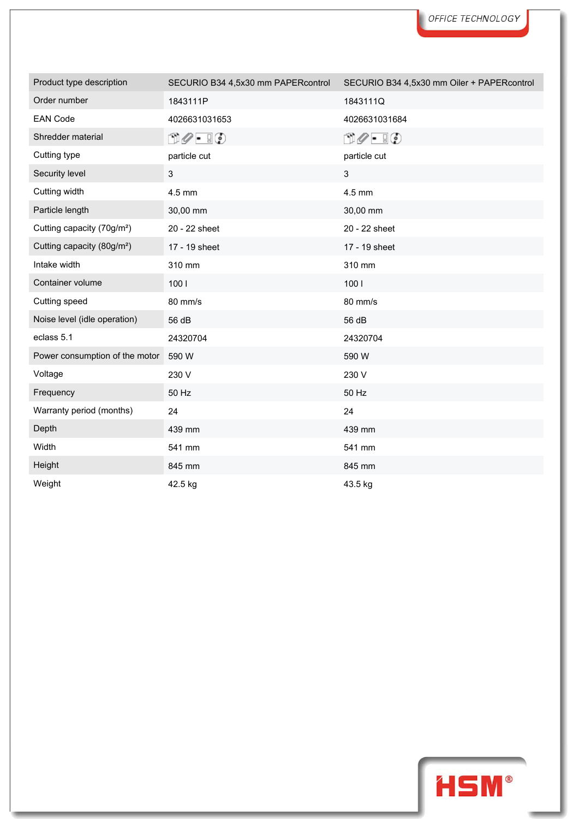| Product type description               | SECURIO B34 4,5x30 mm PAPERcontrol                 | SECURIO B34 4,5x30 mm Oiler + PAPERcontrol |
|----------------------------------------|----------------------------------------------------|--------------------------------------------|
| Order number                           | 1843111P                                           | 1843111Q                                   |
| <b>EAN Code</b>                        | 4026631031653                                      | 4026631031684                              |
| Shredder material                      | $\mathbb{D} \mathscr{O}$ - $\mathbb{F} \mathbb{Q}$ | $\Box \oslash \cdot \ \Box \oslash$        |
| Cutting type                           | particle cut                                       | particle cut                               |
| Security level                         | 3                                                  | 3                                          |
| Cutting width                          | $4.5$ mm                                           | 4.5 mm                                     |
| Particle length                        | 30,00 mm                                           | 30,00 mm                                   |
| Cutting capacity (70g/m <sup>2</sup> ) | 20 - 22 sheet                                      | 20 - 22 sheet                              |
| Cutting capacity (80g/m <sup>2</sup> ) | 17 - 19 sheet                                      | 17 - 19 sheet                              |
| Intake width                           | 310 mm                                             | 310 mm                                     |
| Container volume                       | 1001                                               | 1001                                       |
| Cutting speed                          | 80 mm/s                                            | 80 mm/s                                    |
| Noise level (idle operation)           | 56 dB                                              | 56 dB                                      |
| eclass 5.1                             | 24320704                                           | 24320704                                   |
| Power consumption of the motor         | 590 W                                              | 590 W                                      |
| Voltage                                | 230 V                                              | 230 V                                      |
| Frequency                              | 50 Hz                                              | 50 Hz                                      |
| Warranty period (months)               | 24                                                 | 24                                         |
| Depth                                  | 439 mm                                             | 439 mm                                     |
| Width                                  | 541 mm                                             | 541 mm                                     |
| Height                                 | 845 mm                                             | 845 mm                                     |
| Weight                                 | 42.5 ka                                            | 43.5 kg                                    |

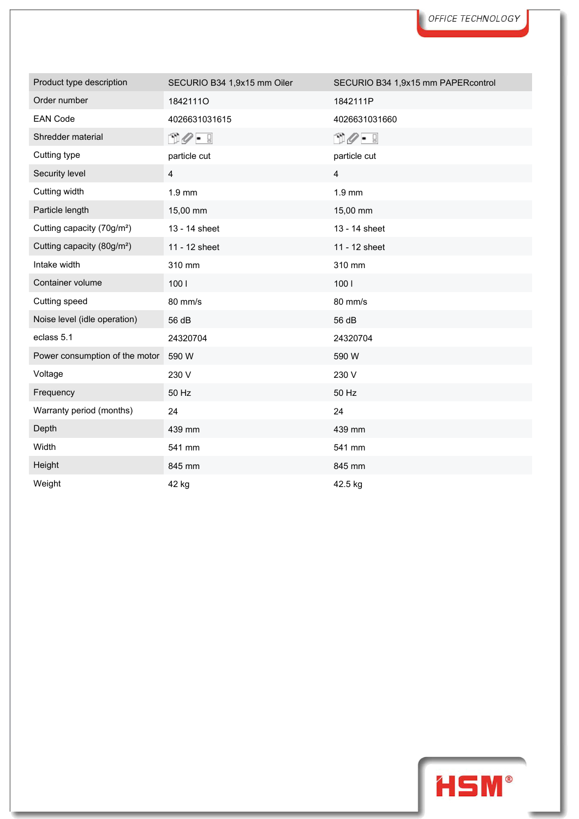| Product type description               | SECURIO B34 1,9x15 mm Oiler | SECURIO B34 1,9x15 mm PAPERcontrol |
|----------------------------------------|-----------------------------|------------------------------------|
| Order number                           | 18421110                    | 1842111P                           |
| <b>EAN Code</b>                        | 4026631031615               | 4026631031660                      |
| Shredder material                      | O 0 - 9                     | O 0 - 9                            |
| Cutting type                           | particle cut                | particle cut                       |
| Security level                         | $\overline{\mathbf{4}}$     | $\overline{\mathbf{4}}$            |
| Cutting width                          | 1.9 mm                      | $1.9$ mm                           |
| Particle length                        | 15,00 mm                    | 15,00 mm                           |
| Cutting capacity (70g/m <sup>2</sup> ) | 13 - 14 sheet               | 13 - 14 sheet                      |
| Cutting capacity (80g/m <sup>2</sup> ) | 11 - 12 sheet               | 11 - 12 sheet                      |
| Intake width                           | 310 mm                      | 310 mm                             |
| Container volume                       | 100                         | 1001                               |
| Cutting speed                          | 80 mm/s                     | 80 mm/s                            |
| Noise level (idle operation)           | 56 dB                       | 56 dB                              |
| eclass 5.1                             | 24320704                    | 24320704                           |
| Power consumption of the motor         | 590 W                       | 590 W                              |
| Voltage                                | 230 V                       | 230 V                              |
| Frequency                              | 50 Hz                       | 50 Hz                              |
| Warranty period (months)               | 24                          | 24                                 |
| Depth                                  | 439 mm                      | 439 mm                             |
| Width                                  | 541 mm                      | 541 mm                             |
| Height                                 | 845 mm                      | 845 mm                             |
| Weight                                 | 42 kg                       | 42.5 kg                            |

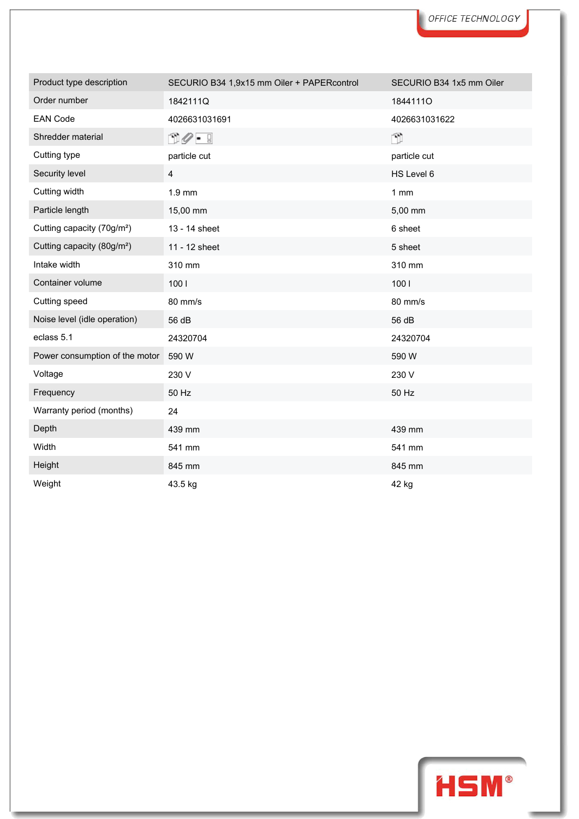| Product type description               | SECURIO B34 1,9x15 mm Oiler + PAPERcontrol | SECURIO B34 1x5 mm Oiler |
|----------------------------------------|--------------------------------------------|--------------------------|
| Order number                           | 1842111Q                                   | 18441110                 |
| <b>EAN Code</b>                        | 4026631031691                              | 4026631031622            |
| Shredder material                      | O 0 - 9                                    | Ñ                        |
| Cutting type                           | particle cut                               | particle cut             |
| Security level                         | 4                                          | HS Level 6               |
| Cutting width                          | $1.9$ mm                                   | $1 \text{ mm}$           |
| Particle length                        | 15,00 mm                                   | 5,00 mm                  |
| Cutting capacity (70g/m <sup>2</sup> ) | 13 - 14 sheet                              | 6 sheet                  |
| Cutting capacity (80g/m <sup>2</sup> ) | 11 - 12 sheet                              | 5 sheet                  |
| Intake width                           | 310 mm                                     | 310 mm                   |
| Container volume                       | 1001                                       | 1001                     |
| Cutting speed                          | 80 mm/s                                    | 80 mm/s                  |
| Noise level (idle operation)           | 56 dB                                      | 56 dB                    |
| eclass 5.1                             | 24320704                                   | 24320704                 |
| Power consumption of the motor         | 590 W                                      | 590 W                    |
| Voltage                                | 230 V                                      | 230 V                    |
| Frequency                              | 50 Hz                                      | 50 Hz                    |
| Warranty period (months)               | 24                                         |                          |
| Depth                                  | 439 mm                                     | 439 mm                   |
| Width                                  | 541 mm                                     | 541 mm                   |
| Height                                 | 845 mm                                     | 845 mm                   |
| Weight                                 | 43.5 kg                                    | 42 kg                    |